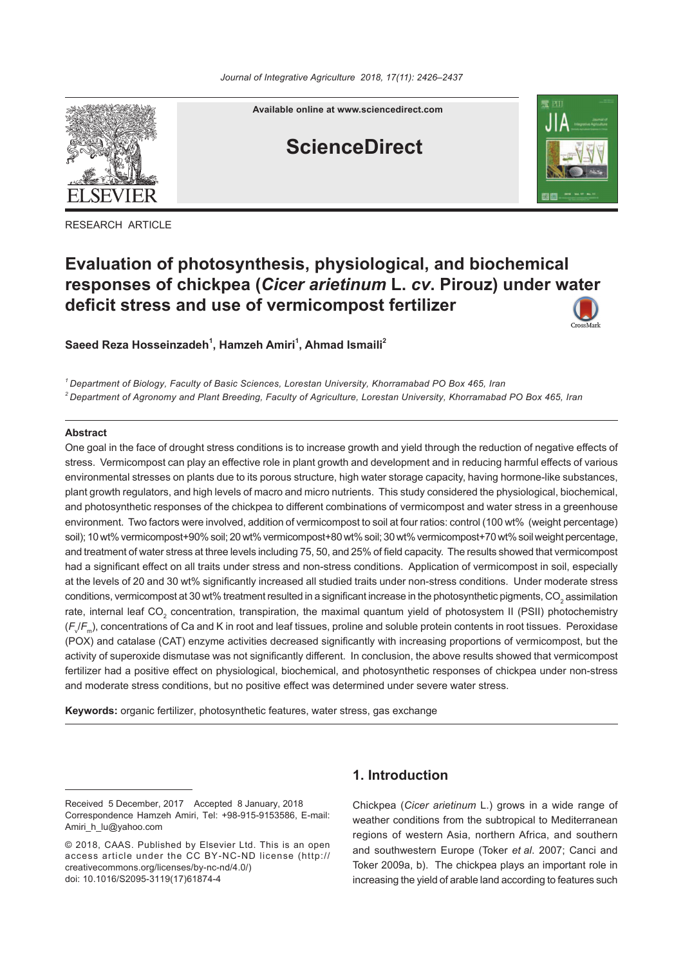

RESEARCH ARTICLE

**Available online at www.sciencedirect.com**

# **ScienceDirect**



## **Evaluation of photosynthesis, physiological, and biochemical responses of chickpea (***Cicer arietinum* **L.** *cv***. Pirouz) under water deficit stress and use of vermicompost fertilizer**



*1 Department of Biology, Faculty of Basic Sciences, Lorestan University, Khorramabad PO Box 465, Iran 2 Department of Agronomy and Plant Breeding, Faculty of Agriculture, Lorestan University, Khorramabad PO Box 465, Iran*

## **Abstract**

One goal in the face of drought stress conditions is to increase growth and yield through the reduction of negative effects of stress. Vermicompost can play an effective role in plant growth and development and in reducing harmful effects of various environmental stresses on plants due to its porous structure, high water storage capacity, having hormone-like substances, plant growth regulators, and high levels of macro and micro nutrients. This study considered the physiological, biochemical, and photosynthetic responses of the chickpea to different combinations of vermicompost and water stress in a greenhouse environment.Two factors were involved, addition of vermicompost to soil at four ratios: control (100 wt% (weight percentage) soil); 10 wt% vermicompost+90% soil; 20 wt% vermicompost+80 wt% soil; 30 wt% vermicompost+70 wt% soil weight percentage, and treatment of water stress at three levels including 75, 50, and 25% of field capacity. The results showed that vermicompost had a significant effect on all traits under stress and non-stress conditions. Application of vermicompost in soil, especially at the levels of 20 and 30 wt% significantly increased all studied traits under non-stress conditions.Under moderate stress conditions, vermicompost at 30 wt% treatment resulted in a significant increase in the photosynthetic pigments, CO<sub>2</sub> assimilation rate, internal leaf CO<sub>2</sub> concentration, transpiration, the maximal quantum yield of photosystem II (PSII) photochemistry (*F*<sup>v</sup> /*F*m), concentrations of Ca and K in root and leaf tissues, proline and soluble protein contents in root tissues.Peroxidase (POX) and catalase (CAT) enzyme activities decreased significantly with increasing proportions of vermicompost, but the activity of superoxide dismutase was not significantly different.In conclusion, the above results showed that vermicompost fertilizer had a positive effect on physiological, biochemical, and photosynthetic responses of chickpea under non-stress and moderate stress conditions, but no positive effect was determined under severe water stress.

**Keywords:** organic fertilizer, photosynthetic features, water stress, gas exchange

## **1. Introduction**

Chickpea (*Cicer arietinum* L.) grows in a wide range of weather conditions from the subtropical to Mediterranean regions of western Asia, northern Africa, and southern and southwestern Europe (Toker *et al*. 2007; Canci and Toker 2009a, b). The chickpea plays an important role in increasing the yield of arable land according to features such

Received 5 December, 2017 Accepted 8 January, 2018 Correspondence Hamzeh Amiri, Tel: +98-915-9153586, E-mail: Amiri\_h\_lu@yahoo.com

<sup>© 2018,</sup> CAAS. Published by Elsevier Ltd. This is an open access article under the CC BY-NC-ND license (http:// creativecommons.org/licenses/by-nc-nd/4.0/) doi: 10.1016/S2095-3119(17)61874-4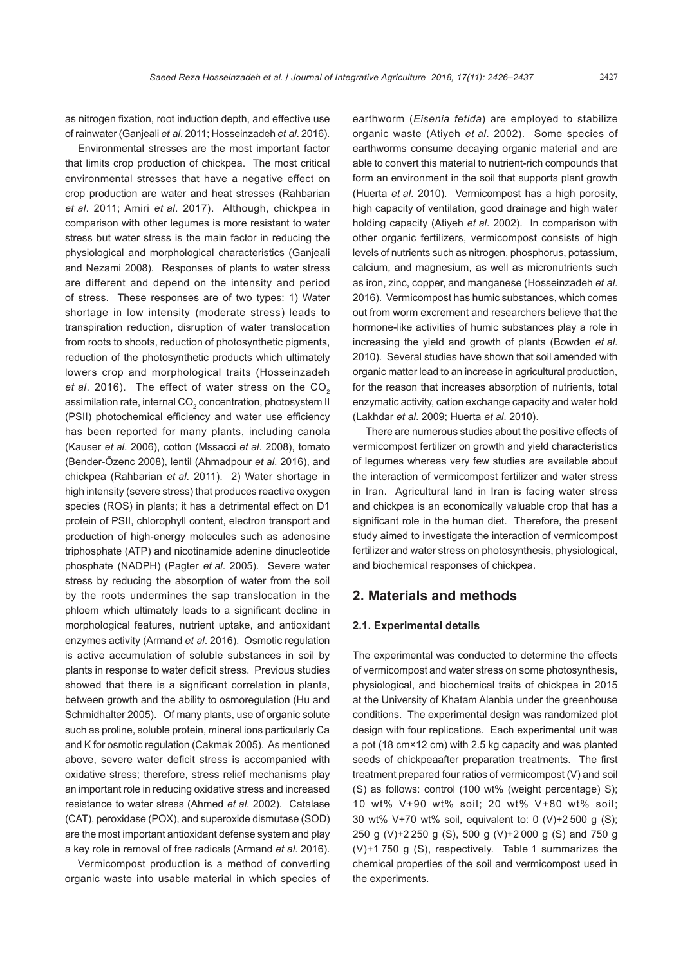as nitrogen fixation, root induction depth, and effective use of rainwater (Ganjeali *et al*. 2011; Hosseinzadeh *et al*. 2016).

Environmental stresses are the most important factor that limits crop production of chickpea. The most critical environmental stresses that have a negative effect on crop production are water and heat stresses (Rahbarian *et al*. 2011; Amiri *et al*. 2017). Although, chickpea in comparison with other legumes is more resistant to water stress but water stress is the main factor in reducing the physiological and morphological characteristics (Ganjeali and Nezami 2008). Responses of plants to water stress are different and depend on the intensity and period of stress. These responses are of two types: 1) Water shortage in low intensity (moderate stress) leads to transpiration reduction, disruption of water translocation from roots to shoots, reduction of photosynthetic pigments, reduction of the photosynthetic products which ultimately lowers crop and morphological traits (Hosseinzadeh *et al.* 2016). The effect of water stress on the CO<sub>2</sub> assimilation rate, internal CO $_{\textrm{\tiny{2}}}$  concentration, photosystem II (PSII) photochemical efficiency and water use efficiency has been reported for many plants, including canola (Kauser *et al*. 2006), cotton (Mssacci *et al*. 2008), tomato (Bender-Özenc 2008), lentil (Ahmadpour *et al*. 2016), and chickpea (Rahbarian *et al*. 2011). 2) Water shortage in high intensity (severe stress) that produces reactive oxygen species (ROS) in plants; it has a detrimental effect on D1 protein of PSII, chlorophyll content, electron transport and production of high-energy molecules such as adenosine triphosphate (ATP) and nicotinamide adenine dinucleotide phosphate (NADPH) (Pagter *et al*. 2005). Severe water stress by reducing the absorption of water from the soil by the roots undermines the sap translocation in the phloem which ultimately leads to a significant decline in morphological features, nutrient uptake, and antioxidant enzymes activity (Armand *et al*. 2016). Osmotic regulation is active accumulation of soluble substances in soil by plants in response to water deficit stress. Previous studies showed that there is a significant correlation in plants. between growth and the ability to osmoregulation (Hu and Schmidhalter 2005). Of many plants, use of organic solute such as proline, soluble protein, mineral ions particularly Ca and K for osmotic regulation (Cakmak 2005). As mentioned above, severe water deficit stress is accompanied with oxidative stress; therefore, stress relief mechanisms play an important role in reducing oxidative stress and increased resistance to water stress (Ahmed *et al*. 2002). Catalase (CAT), peroxidase (POX), and superoxide dismutase (SOD) are the most important antioxidant defense system and play a key role in removal of free radicals (Armand *et al*. 2016).

Vermicompost production is a method of converting organic waste into usable material in which species of earthworm (*Eisenia fetida*) are employed to stabilize organic waste (Atiyeh *et al*. 2002). Some species of earthworms consume decaying organic material and are able to convert this material to nutrient-rich compounds that form an environment in the soil that supports plant growth (Huerta *et al*. 2010). Vermicompost has a high porosity, high capacity of ventilation, good drainage and high water holding capacity (Atiyeh *et al*. 2002). In comparison with other organic fertilizers, vermicompost consists of high levels of nutrients such as nitrogen, phosphorus, potassium, calcium, and magnesium, as well as micronutrients such as iron, zinc, copper, and manganese (Hosseinzadeh *et al*. 2016). Vermicompost has humic substances, which comes out from worm excrement and researchers believe that the hormone-like activities of humic substances play a role in increasing the yield and growth of plants (Bowden *et al*. 2010). Several studies have shown that soil amended with organic matter lead to an increase in agricultural production, for the reason that increases absorption of nutrients, total enzymatic activity, cation exchange capacity and water hold (Lakhdar *et al*. 2009; Huerta *et al*. 2010).

There are numerous studies about the positive effects of vermicompost fertilizer on growth and yield characteristics of legumes whereas very few studies are available about the interaction of vermicompost fertilizer and water stress in Iran. Agricultural land in Iran is facing water stress and chickpea is an economically valuable crop that has a significant role in the human diet. Therefore, the present study aimed to investigate the interaction of vermicompost fertilizer and water stress on photosynthesis, physiological, and biochemical responses of chickpea.

## **2. Materials and methods**

#### **2.1. Experimental details**

The experimental was conducted to determine the effects of vermicompost and water stress on some photosynthesis, physiological, and biochemical traits of chickpea in 2015 at the University of Khatam Alanbia under the greenhouse conditions. The experimental design was randomized plot design with four replications. Each experimental unit was a pot (18 cm×12 cm) with 2.5 kg capacity and was planted seeds of chickpeaafter preparation treatments. The first treatment prepared four ratios of vermicompost (V) and soil (S) as follows: control (100 wt% (weight percentage) S); 10 wt% V+90 wt% soil; 20 wt% V+80 wt% soil; 30 wt% V+70 wt% soil, equivalent to: 0 (V)+2 500 g (S); 250 g (V)+2 250 g (S), 500 g (V)+2 000 g (S) and 750 g (V)+1 750 g (S), respectively. Table 1 summarizes the chemical properties of the soil and vermicompost used in the experiments.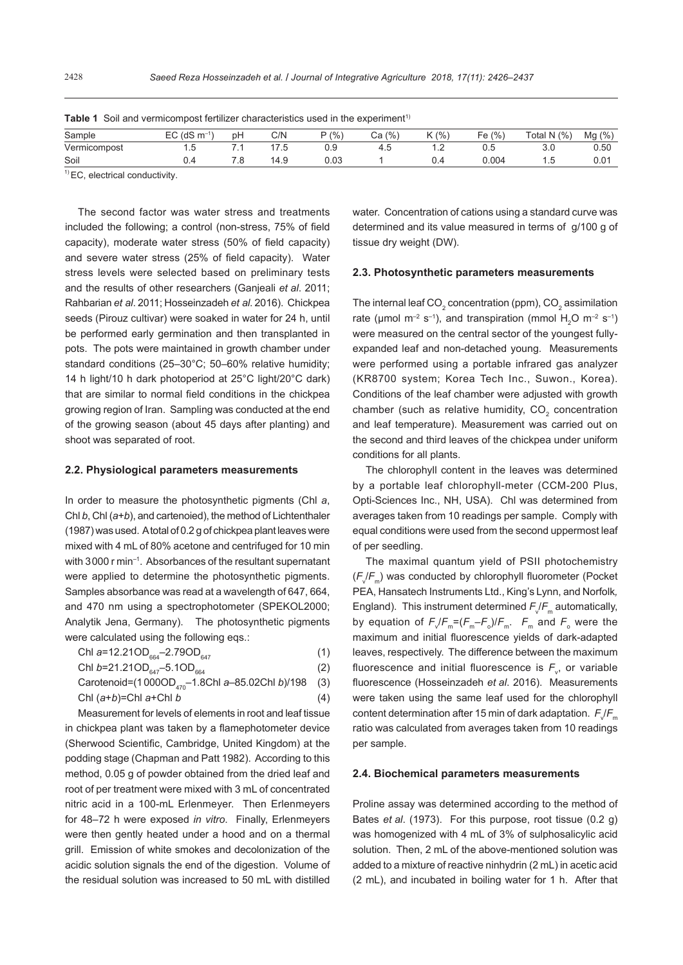| Sample       | $EC$ (dS m <sup>-1</sup> | рH | C/N              | P(% ) | (% , )<br>Cа | $K$ (%) | Fe $(% )$ | Total N $(%)$ | $Mg$ (%)         |
|--------------|--------------------------|----|------------------|-------|--------------|---------|-----------|---------------|------------------|
| Vermicompost | ن ا                      |    | $\mathcal{L}$ .5 | 0.9   | $\sim$       | $-$     | U.5       | 3.0           | 0.50             |
| Soil         |                          | .o | 14.9             | 0.03  |              |         | 0.004     | 1.5           | 0.0 <sup>4</sup> |

|  |  |  |  |  | <b>Table 1</b> Soil and vermicompost fertilizer characteristics used in the experiment <sup>1)</sup> |  |  |
|--|--|--|--|--|------------------------------------------------------------------------------------------------------|--|--|
|--|--|--|--|--|------------------------------------------------------------------------------------------------------|--|--|

 $<sup>1</sup>$  EC, electrical conductivity.</sup>

The second factor was water stress and treatments included the following; a control (non-stress, 75% of field capacity), moderate water stress (50% of field capacity) and severe water stress (25% of field capacity). Water stress levels were selected based on preliminary tests and the results of other researchers (Ganjeali *et al*. 2011; Rahbarian *et al*. 2011; Hosseinzadeh *et al*. 2016). Chickpea seeds (Pirouz cultivar) were soaked in water for 24 h, until be performed early germination and then transplanted in pots. The pots were maintained in growth chamber under standard conditions (25–30°C; 50–60% relative humidity; 14 h light/10 h dark photoperiod at 25°C light/20°C dark) that are similar to normal field conditions in the chickpea growing region of Iran. Sampling was conducted at the end of the growing season (about 45 days after planting) and shoot was separated of root.

### **2.2. Physiological parameters measurements**

In order to measure the photosynthetic pigments (Chl *a*, Chl *b*, Chl (*a*+*b*), and cartenoied), the method of Lichtenthaler (1987) was used. A total of 0.2 g of chickpea plant leaves were mixed with 4 mL of 80% acetone and centrifuged for 10 min with 3000 r min–1. Absorbances of the resultant supernatant were applied to determine the photosynthetic pigments. Samples absorbance was read at a wavelength of 647, 664, and 470 nm using a spectrophotometer (SPEKOL2000; Analytik Jena, Germany). The photosynthetic pigments were calculated using the following eqs.:

ChI 
$$
a=12.21OD_{664}-2.79OD_{647}
$$
 (1)

Chl 
$$
b=21.21OD_{647}-5.1OD_{664}
$$
 (2)

Carotenoid=(1 000OD<sub>470</sub>-1.8Chl *a*-85.02Chl *b*)/198 (3)  
Chl 
$$
(a+b)
$$
=Chl *a*+Chl *b* (4)

Measurement for levels of elements in root and leaf tissue in chickpea plant was taken by a flamephotometer device (Sherwood Scientific, Cambridge, United Kingdom) at the podding stage (Chapman and Patt 1982). According to this method, 0.05 g of powder obtained from the dried leaf and root of per treatment were mixed with 3 mL of concentrated nitric acid in a 100-mL Erlenmeyer. Then Erlenmeyers for 48–72 h were exposed *in vitro*. Finally, Erlenmeyers were then gently heated under a hood and on a thermal grill. Emission of white smokes and decolonization of the acidic solution signals the end of the digestion. Volume of the residual solution was increased to 50 mL with distilled

water. Concentration of cations using a standard curve was determined and its value measured in terms of g/100 g of tissue dry weight (DW).

#### **2.3. Photosynthetic parameters measurements**

The internal leaf CO<sub>2</sub> concentration (ppm), CO<sub>2</sub> assimilation rate ( $\mu$ mol m<sup>-2</sup> s<sup>-1</sup>), and transpiration (mmol H<sub>2</sub>O m<sup>-2</sup> s<sup>-1</sup>) were measured on the central sector of the youngest fullyexpanded leaf and non-detached young. Measurements were performed using a portable infrared gas analyzer (KR8700 system; Korea Tech Inc., Suwon., Korea). Conditions of the leaf chamber were adjusted with growth chamber (such as relative humidity, CO<sub>2</sub> concentration and leaf temperature). Measurement was carried out on the second and third leaves of the chickpea under uniform conditions for all plants.

The chlorophyll content in the leaves was determined by a portable leaf chlorophyll-meter (CCM-200 Plus, Opti-Sciences Inc., NH, USA). Chl was determined from averages taken from 10 readings per sample. Comply with equal conditions were used from the second uppermost leaf of per seedling.

The maximal quantum yield of PSII photochemistry ( $F_{\sqrt{F_{\text{m}}}}$ ) was conducted by chlorophyll fluorometer (Pocket PEA, Hansatech Instruments Ltd., King's Lynn, and Norfolk*,*  England). This instrument determined  $F_{\sqrt{F_m}}$  automatically, by equation of  $F_v/F_m = (F_m - F_o)/F_m$ .  $F_m$  and  $F_o$  were the maximum and initial fluorescence yields of dark-adapted leaves, respectively. The difference between the maximum fluorescence and initial fluorescence is  $F_{\rm v}$ , or variable fluorescence (Hosseinzadeh *et al*. 2016). Measurements were taken using the same leaf used for the chlorophyll content determination after 15 min of dark adaptation.  $F_{\sqrt{F}_m}$ ratio was calculated from averages taken from 10 readings per sample.

#### **2.4. Biochemical parameters measurements**

Proline assay was determined according to the method of Bates *et al*. (1973). For this purpose, root tissue (0.2 g) was homogenized with 4 mL of 3% of sulphosalicylic acid solution. Then, 2 mL of the above-mentioned solution was added to a mixture of reactive ninhydrin (2 mL) in acetic acid (2 mL), and incubated in boiling water for 1 h. After that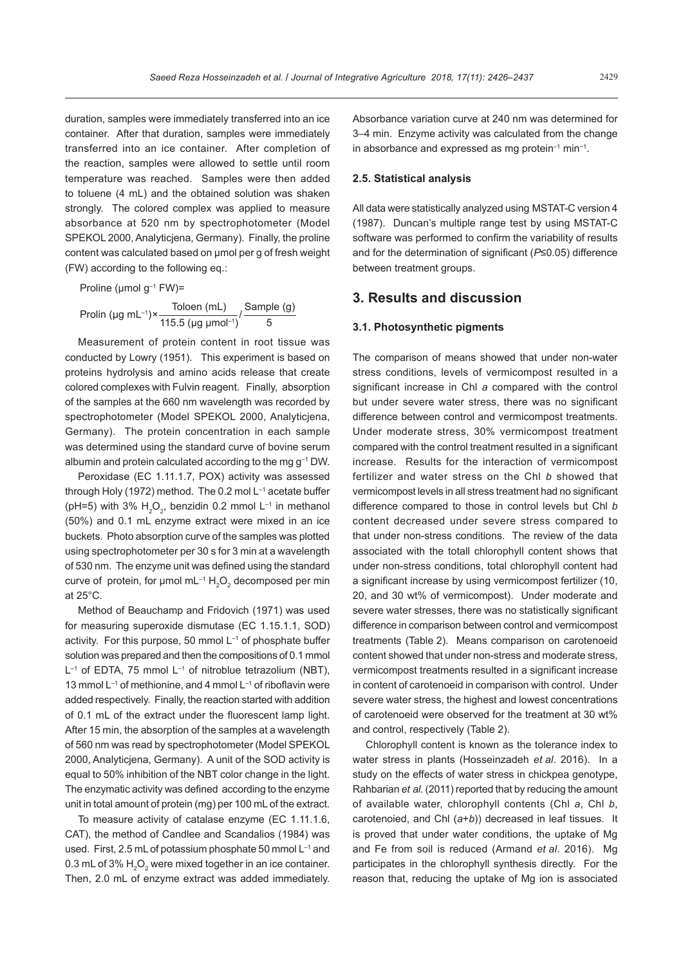duration, samples were immediately transferred into an ice container. After that duration, samples were immediately transferred into an ice container. After completion of the reaction, samples were allowed to settle until room temperature was reached. Samples were then added to toluene (4 mL) and the obtained solution was shaken strongly. The colored complex was applied to measure absorbance at 520 nm by spectrophotometer (Model SPEKOL 2000, Analyticiena, Germany). Finally, the proline content was calculated based on µmol per g of fresh weight (FW) according to the following eq.:

Prolin (µg mL<sup>-1</sup>)× $\frac{\text{Toloen (mL)}}{115.5 \text{ (µg \mu} \text{mol}^{-1})}$ / $\frac{\text{Sample (g)}}{5}$ Proline (μmol g–1 FW)=

Measurement of protein content in root tissue was conducted by Lowry (1951). This experiment is based on proteins hydrolysis and amino acids release that create colored complexes with Fulvin reagent. Finally, absorption of the samples at the 660 nm wavelength was recorded by spectrophotometer (Model SPEKOL 2000, Analyticjena, Germany). The protein concentration in each sample was determined using the standard curve of bovine serum albumin and protein calculated according to the mg g–1 DW.

Peroxidase (EC 1.11.1.7, POX) activity was assessed through Holy (1972) method. The 0.2 mol L<sup>-1</sup> acetate buffer (pH=5) with 3%  $H_2O_2$ , benzidin 0.2 mmol L<sup>-1</sup> in methanol (50%) and 0.1 mL enzyme extract were mixed in an ice buckets. Photo absorption curve of the samples was plotted using spectrophotometer per 30 s for 3 min at a wavelength of 530 nm. The enzyme unit was defined using the standard curve of protein, for µmol mL<sup>-1</sup>  $H_2O_2$  decomposed per min at 25°C.

Method of Beauchamp and Fridovich (1971) was used for measuring superoxide dismutase (EC 1.15.1.1, SOD) activity. For this purpose, 50 mmol L<sup>-1</sup> of phosphate buffer solution was prepared and then the compositions of 0.1 mmol  $L^{-1}$  of EDTA, 75 mmol  $L^{-1}$  of nitroblue tetrazolium (NBT), 13 mmol  $L^{-1}$  of methionine, and 4 mmol  $L^{-1}$  of riboflavin were added respectively. Finally, the reaction started with addition of 0.1 mL of the extract under the fluorescent lamp light. After 15 min, the absorption of the samples at a wavelength of 560 nm was read by spectrophotometer (Model SPEKOL 2000, Analyticjena, Germany). A unit of the SOD activity is equal to 50% inhibition of the NBT color change in the light. The enzymatic activity was defined according to the enzyme unit in total amount of protein (mg) per 100 mL of the extract.

To measure activity of catalase enzyme (EC 1.11.1.6, CAT), the method of Candlee and Scandalios (1984) was used. First, 2.5 mL of potassium phosphate 50 mmol L–1 and 0.3 mL of 3%  $\rm H_2O_2$  were mixed together in an ice container. Then, 2.0 mL of enzyme extract was added immediately.

Absorbance variation curve at 240 nm was determined for 3–4 min. Enzyme activity was calculated from the change in absorbance and expressed as mg protein–1 min−1.

#### **2.5. Statistical analysis**

All data were statistically analyzed using MSTAT-C version 4 (1987). Duncan's multiple range test by using MSTAT-C software was performed to confirm the variability of results and for the determination of significant (*P*≤0.05) difference between treatment groups.

## **3. Results and discussion**

## **3.1. Photosynthetic pigments**

The comparison of means showed that under non-water stress conditions, levels of vermicompost resulted in a significant increase in Chl *a* compared with the control but under severe water stress, there was no significant difference between control and vermicompost treatments. Under moderate stress, 30% vermicompost treatment compared with the control treatment resulted in a significant increase. Results for the interaction of vermicompost fertilizer and water stress on the Chl *b* showed that vermicompost levels in all stress treatment had no significant difference compared to those in control levels but Chl *b* content decreased under severe stress compared to that under non-stress conditions. The review of the data associated with the totall chlorophyll content shows that under non-stress conditions, total chlorophyll content had a significant increase by using vermicompost fertilizer (10, 20, and 30 wt% of vermicompost). Under moderate and severe water stresses, there was no statistically significant difference in comparison between control and vermicompost treatments (Table 2). Means comparison on carotenoeid content showed that under non-stress and moderate stress, vermicompost treatments resulted in a significant increase in content of carotenoeid in comparison with control. Under severe water stress, the highest and lowest concentrations of carotenoeid were observed for the treatment at 30 wt% and control, respectively (Table 2).

Chlorophyll content is known as the tolerance index to water stress in plants (Hosseinzadeh *et al*. 2016). In a study on the effects of water stress in chickpea genotype, Rahbarian *et al*. (2011) reported that by reducing the amount of available water, chlorophyll contents (Chl *a*, Chl *b*, carotenoied, and Chl (*a*+*b*)) decreased in leaf tissues. It is proved that under water conditions, the uptake of Mg and Fe from soil is reduced (Armand *et al*. 2016). Mg participates in the chlorophyll synthesis directly. For the reason that, reducing the uptake of Mg ion is associated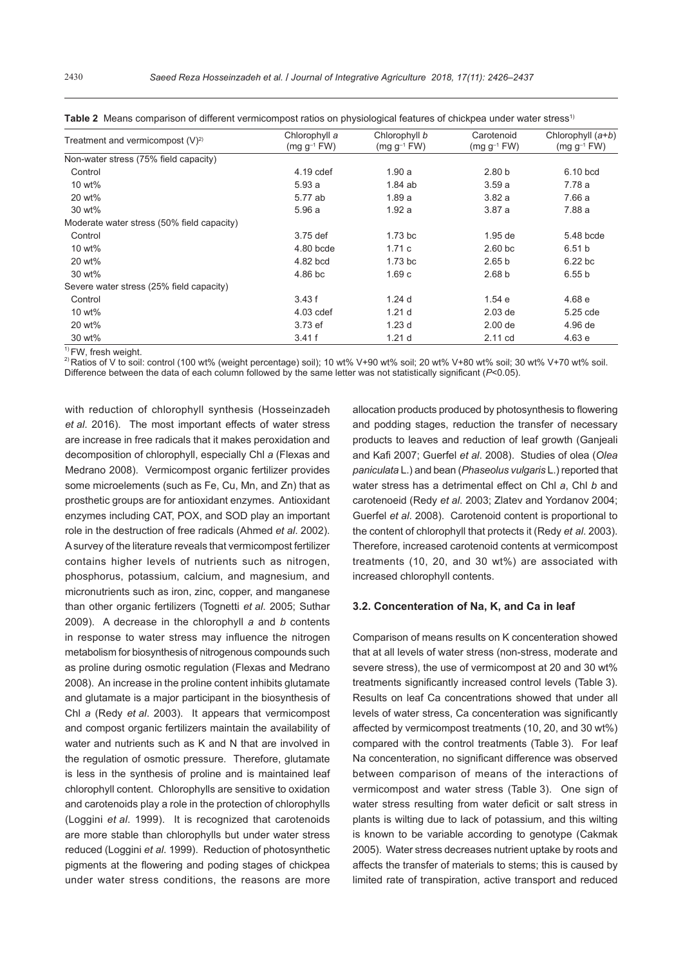| Treatment and vermicompost $(V)^{2}$       | Chlorophyll a    | Chlorophyll b      | Carotenoid        | Chlorophyll $(a+b)$ |
|--------------------------------------------|------------------|--------------------|-------------------|---------------------|
|                                            | $(mg g^{-1} FW)$ | $(mq q^{-1}$ FW)   | $(mg g^{-1} FW)$  | $(mg g^{-1} FW)$    |
| Non-water stress (75% field capacity)      |                  |                    |                   |                     |
| Control                                    | 4.19 cdef        | 1.90a              | 2.80 <sub>b</sub> | 6.10 bcd            |
| 10 wt%                                     | 5.93a            | 1.84ab             | 3.59a             | 7.78 a              |
| 20 wt%                                     | 5.77 ab          | 1.89a              | 3.82a             | 7.66 a              |
| 30 wt%                                     | 5.96 a           | 1.92a              | 3.87a             | 7.88 a              |
| Moderate water stress (50% field capacity) |                  |                    |                   |                     |
| Control                                    | 3.75 def         | 1.73 <sub>bc</sub> | $1.95$ de         | 5.48 bcde           |
| 10 wt%                                     | 4.80 bcde        | 1.71c              | $2.60$ bc         | 6.51 <sub>b</sub>   |
| 20 wt%                                     | 4.82 bcd         | 1.73 <sub>bc</sub> | 2.65 <sub>b</sub> | 6.22 bc             |
| 30 wt%                                     | 4.86 bc          | 1.69c              | 2.68 <sub>b</sub> | 6.55 b              |
| Severe water stress (25% field capacity)   |                  |                    |                   |                     |
| Control                                    | 3.43f            | 1.24 <sub>d</sub>  | 1.54e             | 4.68e               |
| 10 wt%                                     | 4.03 cdef        | 1.21 <sub>d</sub>  | $2.03$ de         | 5.25 cde            |
| 20 wt%                                     | 3.73 ef          | 1.23d              | $2.00$ de         | 4.96 de             |
| 30 wt%                                     | 3.41f            | 1.21 <sub>d</sub>  | 2.11 cd           | 4.63 e              |

|  | Table 2 Means comparison of different vermicompost ratios on physiological features of chickpea under water stress <sup>1)</sup> |  |
|--|----------------------------------------------------------------------------------------------------------------------------------|--|
|--|----------------------------------------------------------------------------------------------------------------------------------|--|

<sup>1)</sup> FW, fresh weight.<br><sup>2)</sup> Ratios of V to soil: control (100 wt% (weight percentage) soil); 10 wt% V+90 wt% soil; 20 wt% V+80 wt% soil; 30 wt% V+70 wt% soil. Difference between the data of each column followed by the same letter was not statistically significant (*P*<0.05).

with reduction of chlorophyll synthesis (Hosseinzadeh *et al*. 2016). The most important effects of water stress are increase in free radicals that it makes peroxidation and decomposition of chlorophyll, especially Chl *a* (Flexas and Medrano 2008). Vermicompost organic fertilizer provides some microelements (such as Fe, Cu, Mn, and Zn) that as prosthetic groups are for antioxidant enzymes. Antioxidant enzymes including CAT, POX, and SOD play an important role in the destruction of free radicals (Ahmed *et al*. 2002). A survey of the literature reveals that vermicompost fertilizer contains higher levels of nutrients such as nitrogen, phosphorus, potassium, calcium, and magnesium, and micronutrients such as iron, zinc, copper, and manganese than other organic fertilizers (Tognetti *et al*. 2005; Suthar 2009). A decrease in the chlorophyll *a* and *b* contents in response to water stress may influence the nitrogen metabolism for biosynthesis of nitrogenous compounds such as proline during osmotic regulation (Flexas and Medrano 2008). An increase in the proline content inhibits glutamate and glutamate is a major participant in the biosynthesis of Chl *a* (Redy *et al*. 2003). It appears that vermicompost and compost organic fertilizers maintain the availability of water and nutrients such as K and N that are involved in the regulation of osmotic pressure. Therefore, glutamate is less in the synthesis of proline and is maintained leaf chlorophyll content. Chlorophylls are sensitive to oxidation and carotenoids play a role in the protection of chlorophylls (Loggini *et al*. 1999). It is recognized that carotenoids are more stable than chlorophylls but under water stress reduced (Loggini *et al*. 1999). Reduction of photosynthetic pigments at the flowering and poding stages of chickpea under water stress conditions, the reasons are more

allocation products produced by photosynthesis to flowering and podding stages, reduction the transfer of necessary products to leaves and reduction of leaf growth (Ganjeali and Kafi 2007; Guerfel *et al*. 2008). Studies of olea (*Olea paniculata* L.) and bean (*Phaseolus vulgaris* L.) reported that water stress has a detrimental effect on Chl *a*, Chl *b* and carotenoeid (Redy *et al*. 2003; Zlatev and Yordanov 2004; Guerfel *et al*. 2008). Carotenoid content is proportional to the content of chlorophyll that protects it (Redy *et al*. 2003). Therefore, increased carotenoid contents at vermicompost treatments (10, 20, and 30 wt%) are associated with increased chlorophyll contents.

## **3.2. Concenteration of Na, K, and Ca in leaf**

Comparison of means results on K concenteration showed that at all levels of water stress (non-stress, moderate and severe stress), the use of vermicompost at 20 and 30 wt% treatments significantly increased control levels (Table 3). Results on leaf Ca concentrations showed that under all levels of water stress, Ca concenteration was significantly affected by vermicompost treatments (10, 20, and 30 wt%) compared with the control treatments (Table 3). For leaf Na concenteration, no significant difference was observed between comparison of means of the interactions of vermicompost and water stress (Table 3). One sign of water stress resulting from water deficit or salt stress in plants is wilting due to lack of potassium, and this wilting is known to be variable according to genotype (Cakmak 2005). Water stress decreases nutrient uptake by roots and affects the transfer of materials to stems; this is caused by limited rate of transpiration, active transport and reduced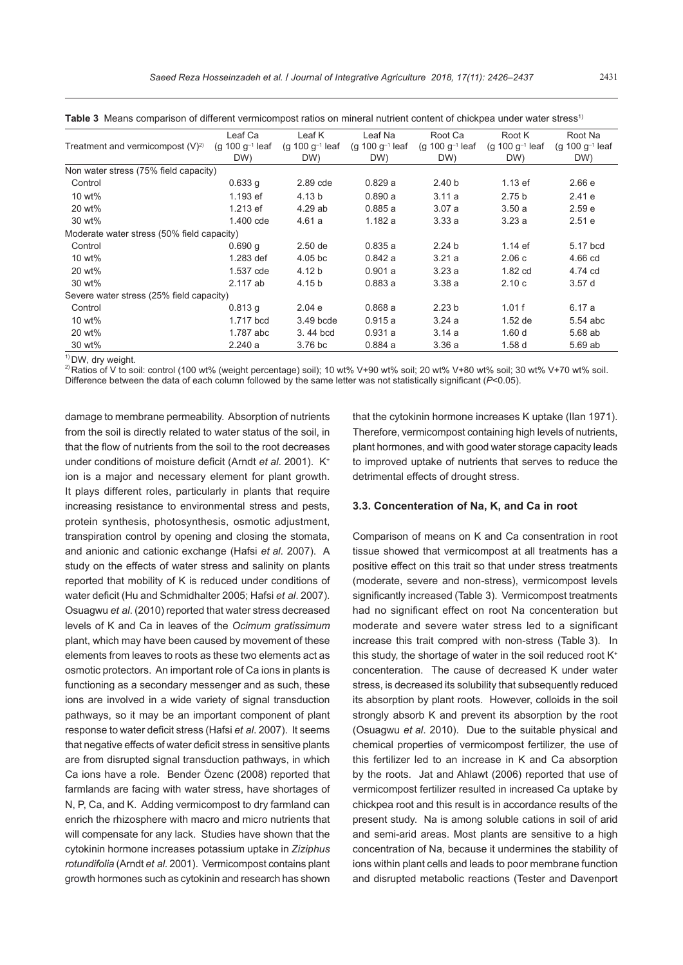|                                            | Leaf Ca                     | Leaf K                      | Leaf Na                     | Root Ca                     | Root K                      | Root Na                     |
|--------------------------------------------|-----------------------------|-----------------------------|-----------------------------|-----------------------------|-----------------------------|-----------------------------|
| Treatment and vermicompost $(V)^2$         | (g 100 $q^{-1}$ leaf<br>DW) | (g 100 $g^{-1}$ leaf<br>DW) | (g 100 $g^{-1}$ leaf<br>DW) | (g 100 $q^{-1}$ leaf<br>DW) | (g 100 $g^{-1}$ leaf<br>DW) | (g 100 $q^{-1}$ leaf<br>DW) |
| Non water stress (75% field capacity)      |                             |                             |                             |                             |                             |                             |
| Control                                    | 0.633q                      | 2.89 cde                    | 0.829a                      | 2.40 <sub>b</sub>           | $1.13$ ef                   | 2.66e                       |
| 10 wt%                                     | 1.193 ef                    | 4.13 b                      | 0.890a                      | 3.11a                       | 2.75 <sub>b</sub>           | 2.41e                       |
| 20 wt%                                     | 1.213 ef                    | 4.29 ab                     | 0.885a                      | 3.07a                       | 3.50a                       | 2.59e                       |
| 30 wt%                                     | 1.400 cde                   | 4.61a                       | 1.182a                      | 3.33a                       | 3.23a                       | 2.51e                       |
| Moderate water stress (50% field capacity) |                             |                             |                             |                             |                             |                             |
| Control                                    | 0.690q                      | $2.50$ de                   | 0.835a                      | 2.24 <sub>b</sub>           | $1.14$ ef                   | 5.17 bcd                    |
| 10 wt%                                     | 1.283 def                   | 4.05 <sub>b</sub> c         | 0.842a                      | 3.21a                       | 2.06c                       | 4.66 cd                     |
| 20 wt%                                     | 1.537 cde                   | 4.12 b                      | 0.901a                      | 3.23a                       | 1.82 cd                     | 4.74 cd                     |
| 30 wt%                                     | $2.117$ ab                  | 4.15 b                      | 0.883a                      | 3.38a                       | 2.10c                       | 3.57d                       |
| Severe water stress (25% field capacity)   |                             |                             |                             |                             |                             |                             |
| Control                                    | 0.813q                      | 2.04e                       | 0.868a                      | 2.23 <sub>b</sub>           | 1.01f                       | 6.17 a                      |
| 10 wt%                                     | 1.717 bcd                   | 3.49 bcde                   | 0.915a                      | 3.24a                       | $1.52$ de                   | 5.54 abc                    |
| 20 wt%                                     | 1.787 abc                   | 3.44 bcd                    | 0.931a                      | 3.14a                       | 1.60d                       | 5.68 ab                     |
| 30 wt%                                     | 2.240a                      | 3.76 bc                     | 0.884a                      | 3.36 a                      | 1.58d                       | 5.69 ab                     |

**Table 3** Means comparison of different vermicompost ratios on mineral nutrient content of chickpea under water stress1)

<sup>1)</sup> DW, dry weight.<br><sup>2)</sup> Ratios of V to soil: control (100 wt% (weight percentage) soil); 10 wt% V+90 wt% soil; 20 wt% V+80 wt% soil; 30 wt% V+70 wt% soil. Difference between the data of each column followed by the same letter was not statistically significant (*P*<0.05).

damage to membrane permeability. Absorption of nutrients from the soil is directly related to water status of the soil, in that the flow of nutrients from the soil to the root decreases under conditions of moisture deficit (Arndt *et al.* 2001). K<sup>+</sup> ion is a major and necessary element for plant growth. It plays different roles, particularly in plants that require increasing resistance to environmental stress and pests, protein synthesis, photosynthesis, osmotic adjustment, transpiration control by opening and closing the stomata, and anionic and cationic exchange (Hafsi *et al*. 2007). A study on the effects of water stress and salinity on plants reported that mobility of K is reduced under conditions of water deficit (Hu and Schmidhalter 2005; Hafsi *et al*. 2007). Osuagwu *et al*. (2010) reported that water stress decreased levels of K and Ca in leaves of the *Ocimum gratissimum* plant, which may have been caused by movement of these elements from leaves to roots as these two elements act as osmotic protectors. An important role of Ca ions in plants is functioning as a secondary messenger and as such, these ions are involved in a wide variety of signal transduction pathways, so it may be an important component of plant response to water deficit stress (Hafsi *et al*. 2007). It seems that negative effects of water deficit stress in sensitive plants are from disrupted signal transduction pathways, in which Ca ions have a role. Bender Özenc (2008) reported that farmlands are facing with water stress, have shortages of N, P, Ca, and K. Adding vermicompost to dry farmland can enrich the rhizosphere with macro and micro nutrients that will compensate for any lack. Studies have shown that the cytokinin hormone increases potassium uptake in *Ziziphus rotundifolia* (Arndt *et al*. 2001). Vermicompost contains plant growth hormones such as cytokinin and research has shown

that the cytokinin hormone increases K uptake (Ilan 1971). Therefore, vermicompost containing high levels of nutrients, plant hormones, and with good water storage capacity leads to improved uptake of nutrients that serves to reduce the detrimental effects of drought stress.

## **3.3. Concenteration of Na, K, and Ca in root**

Comparison of means on K and Ca consentration in root tissue showed that vermicompost at all treatments has a positive effect on this trait so that under stress treatments (moderate, severe and non-stress), vermicompost levels significantly increased (Table 3). Vermicompost treatments had no significant effect on root Na concenteration but moderate and severe water stress led to a significant increase this trait compred with non-stress (Table 3). In this study, the shortage of water in the soil reduced root  $K^+$ concenteration. The cause of decreased K under water stress, is decreased its solubility that subsequently reduced its absorption by plant roots. However, colloids in the soil strongly absorb K and prevent its absorption by the root (Osuagwu *et al*. 2010). Due to the suitable physical and chemical properties of vermicompost fertilizer, the use of this fertilizer led to an increase in K and Ca absorption by the roots. Jat and Ahlawt (2006) reported that use of vermicompost fertilizer resulted in increased Ca uptake by chickpea root and this result is in accordance results of the present study. Na is among soluble cations in soil of arid and semi-arid areas. Most plants are sensitive to a high concentration of Na, because it undermines the stability of ions within plant cells and leads to poor membrane function and disrupted metabolic reactions (Tester and Davenport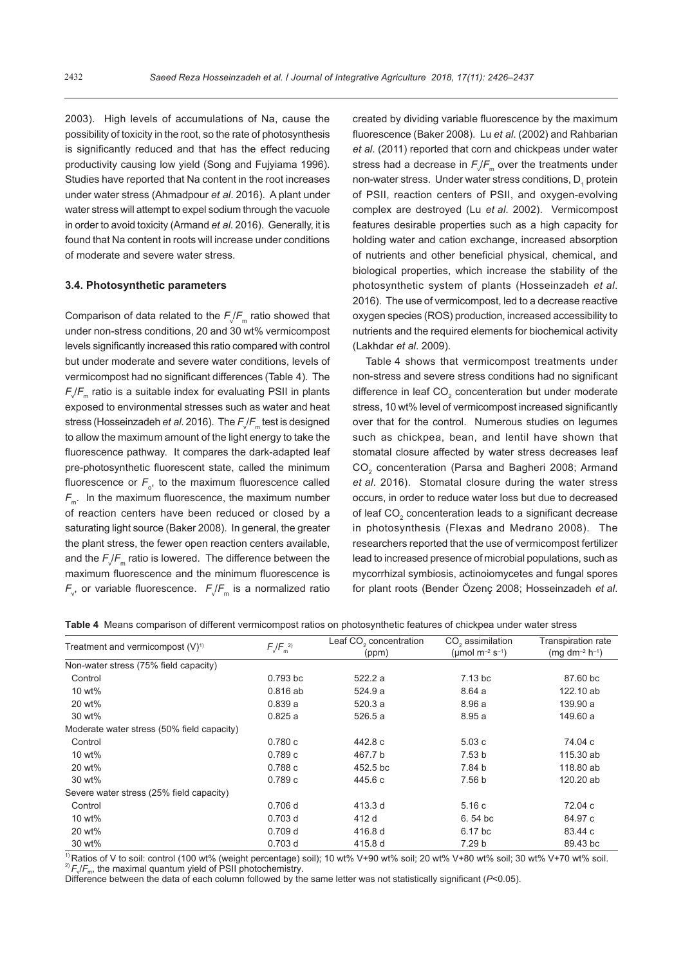2003). High levels of accumulations of Na, cause the possibility of toxicity in the root, so the rate of photosynthesis is significantly reduced and that has the effect reducing productivity causing low yield (Song and Fujyiama 1996). Studies have reported that Na content in the root increases under water stress (Ahmadpour *et al*. 2016). A plant under water stress will attempt to expel sodium through the vacuole in order to avoid toxicity (Armand *et al*. 2016). Generally, it is found that Na content in roots will increase under conditions of moderate and severe water stress.

## **3.4. Photosynthetic parameters**

Comparison of data related to the  $F_{\!\sqrt{F}_\mathsf{m}}$  ratio showed that under non-stress conditions, 20 and 30 wt% vermicompost levels significantly increased this ratio compared with control but under moderate and severe water conditions, levels of vermicompost had no significant differences (Table 4). The  $\mathsf{F}\mathsf{\scriptstyle\sqrt{F}_m}$  ratio is a suitable index for evaluating PSII in plants exposed to environmental stresses such as water and heat stress (Hosseinzadeh *et al.* 2016). The  $F_{\tiny \sqrt{F_m}}$  test is designed to allow the maximum amount of the light energy to take the fluorescence pathway. It compares the dark-adapted leaf pre-photosynthetic fluorescent state, called the minimum fluorescence or  $F_{\circ}$ , to the maximum fluorescence called  $F_m$ . In the maximum fluorescence, the maximum number of reaction centers have been reduced or closed by a saturating light source (Baker 2008). In general, the greater the plant stress, the fewer open reaction centers available, and the  $F_{\!\sqrt{F}_\mathfrak{m}}$  ratio is lowered. The difference between the maximum fluorescence and the minimum fluorescence is  $F_{\tiny{v}}$ , or variable fluorescence.  $F_{\tiny{v}}/F_{\tiny{m}}$  is a normalized ratio created by dividing variable fluorescence by the maximum fluorescence (Baker 2008). Lu *et al*. (2002) and Rahbarian *et al*. (2011) reported that corn and chickpeas under water stress had a decrease in  $F_{\sqrt{F_{\text{m}}}}$  over the treatments under non-water stress. Under water stress conditions,  $D_1$  protein of PSII, reaction centers of PSII, and oxygen-evolving complex are destroyed (Lu *et al*. 2002). Vermicompost features desirable properties such as a high capacity for holding water and cation exchange, increased absorption of nutrients and other beneficial physical, chemical, and biological properties, which increase the stability of the photosynthetic system of plants (Hosseinzadeh *et al*. 2016). The use of vermicompost, led to a decrease reactive oxygen species (ROS) production, increased accessibility to nutrients and the required elements for biochemical activity (Lakhdar *et al*. 2009).

Table 4 shows that vermicompost treatments under non-stress and severe stress conditions had no significant difference in leaf  $CO<sub>2</sub>$  concenteration but under moderate stress, 10 wt% level of vermicompost increased significantly over that for the control. Numerous studies on legumes such as chickpea, bean, and lentil have shown that stomatal closure affected by water stress decreases leaf CO<sub>2</sub> concenteration (Parsa and Bagheri 2008; Armand *et al*. 2016). Stomatal closure during the water stress occurs, in order to reduce water loss but due to decreased of leaf  $CO<sub>2</sub>$  concenteration leads to a significant decrease in photosynthesis (Flexas and Medrano 2008). The researchers reported that the use of vermicompost fertilizer lead to increased presence of microbial populations, such as mycorrhizal symbiosis, actinoiomycetes and fungal spores for plant roots (Bender Özenç 2008; Hosseinzadeh *et al*.

| <b>Table 4</b> Means comparison of different vermicompost ratios on photosynthetic features of chickpea under water stress |
|----------------------------------------------------------------------------------------------------------------------------|
|----------------------------------------------------------------------------------------------------------------------------|

| Treatment and vermicompost $(V)^{1}$       | $F_v/F_m^{2)}$ | Leaf CO <sub>2</sub> concentration<br>(ppm) | CO <sub>2</sub> assimilation<br>( $\mu$ mol m <sup>-2</sup> s <sup>-1</sup> ) | Transpiration rate<br>$(mq dm^{-2} h^{-1})$ |
|--------------------------------------------|----------------|---------------------------------------------|-------------------------------------------------------------------------------|---------------------------------------------|
| Non-water stress (75% field capacity)      |                |                                             |                                                                               |                                             |
| Control                                    | $0.793$ bc     | 522.2 a                                     | 7.13 bc                                                                       | 87.60 bc                                    |
| 10 wt%                                     | $0.816$ ab     | 524.9 a                                     | 8.64a                                                                         | 122.10 ab                                   |
| 20 wt%                                     | 0.839a         | 520.3 a                                     | 8.96 a                                                                        | 139.90 a                                    |
| 30 wt%                                     | 0.825a         | 526.5 a                                     | 8.95a                                                                         | 149.60 a                                    |
| Moderate water stress (50% field capacity) |                |                                             |                                                                               |                                             |
| Control                                    | 0.780c         | 442.8 c                                     | 5.03c                                                                         | 74.04 c                                     |
| 10 wt%                                     | 0.789c         | 467.7 b                                     | 7.53 <sub>b</sub>                                                             | 115.30 ab                                   |
| 20 wt%                                     | 0.788c         | 452.5 bc                                    | 7.84 b                                                                        | 118.80 ab                                   |
| 30 wt%                                     | 0.789c         | 445.6 c                                     | 7.56 b                                                                        | 120.20 ab                                   |
| Severe water stress (25% field capacity)   |                |                                             |                                                                               |                                             |
| Control                                    | 0.706d         | 413.3 d                                     | 5.16c                                                                         | 72.04 c                                     |
| 10 wt%                                     | $0.703$ d      | 412 d                                       | 6.54 bc                                                                       | 84.97 c                                     |
| 20 wt%                                     | 0.709d         | 416.8 d                                     | 6.17 bc                                                                       | 83.44 c                                     |
| 30 wt%                                     | $0.703$ d      | 415.8 d                                     | 7.29 b                                                                        | 89.43 bc                                    |

<sup>1)</sup> Ratios of V to soil: control (100 wt% (weight percentage) soil); 10 wt% V+90 wt% soil; 20 wt% V+80 wt% soil; 30 wt% V+70 wt% soil.<br><sup>2)</sup> *F<sub>v</sub>/F*<sub>m</sub>, the maximal quantum yield of PSII photochemistry.

Difference between the data of each column followed by the same letter was not statistically significant (*P*<0.05).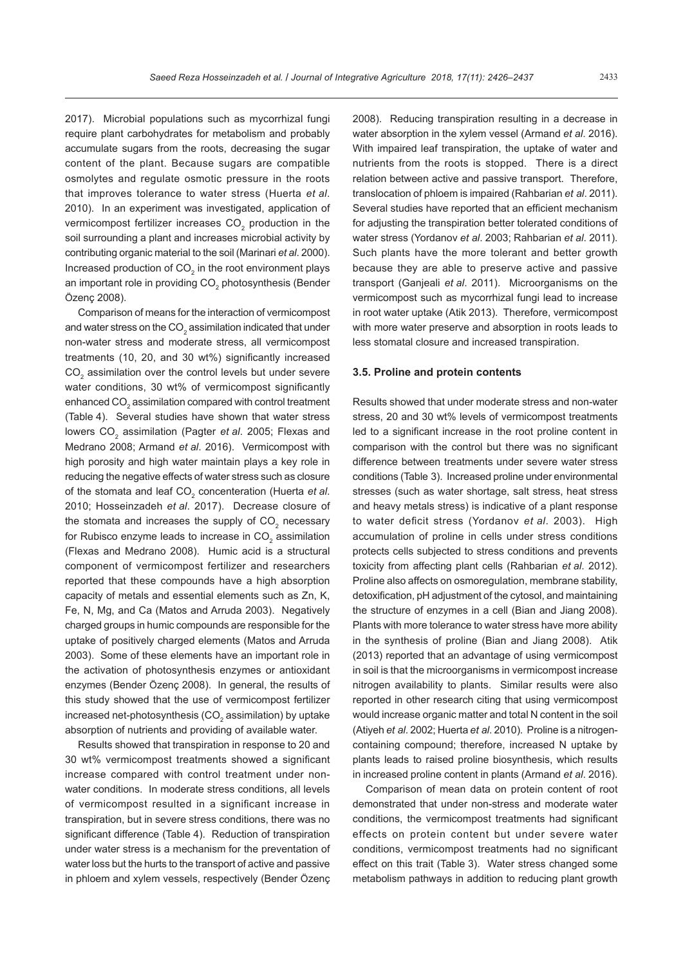2017). Microbial populations such as mycorrhizal fungi require plant carbohydrates for metabolism and probably accumulate sugars from the roots, decreasing the sugar content of the plant. Because sugars are compatible osmolytes and regulate osmotic pressure in the roots that improves tolerance to water stress (Huerta *et al*. 2010). In an experiment was investigated, application of vermicompost fertilizer increases CO<sub>2</sub> production in the soil surrounding a plant and increases microbial activity by contributing organic material to the soil (Marinari *et al*. 2000). Increased production of CO<sub>2</sub> in the root environment plays an important role in providing CO<sub>2</sub> photosynthesis (Bender Özenç 2008).

Comparison of means for the interaction of vermicompost and water stress on the CO $_{\tiny 2}$  assimilation indicated that under non-water stress and moderate stress, all vermicompost treatments (10, 20, and 30 wt%) significantly increased  $\mathrm{CO}_2$  assimilation over the control levels but under severe water conditions, 30 wt% of vermicompost significantly enhanced CO $_{\tiny 2}$  assimilation compared with control treatment (Table 4). Several studies have shown that water stress lowers CO<sub>2</sub> assimilation (Pagter *et al.* 2005; Flexas and Medrano 2008; Armand *et al*. 2016). Vermicompost with high porosity and high water maintain plays a key role in reducing the negative effects of water stress such as closure of the stomata and leaf CO<sub>2</sub> concenteration (Huerta *et al.* 2010; Hosseinzadeh *et al*. 2017). Decrease closure of the stomata and increases the supply of CO<sub>2</sub> necessary for Rubisco enzyme leads to increase in CO $_2$  assimilation (Flexas and Medrano 2008). Humic acid is a structural component of vermicompost fertilizer and researchers reported that these compounds have a high absorption capacity of metals and essential elements such as Zn, K, Fe, N, Mg, and Ca (Matos and Arruda 2003). Negatively charged groups in humic compounds are responsible for the uptake of positively charged elements (Matos and Arruda 2003). Some of these elements have an important role in the activation of photosynthesis enzymes or antioxidant enzymes (Bender Özenç 2008). In general, the results of this study showed that the use of vermicompost fertilizer increased net-photosynthesis (CO $_{\rm 2}$  assimilation) by uptake absorption of nutrients and providing of available water.

Results showed that transpiration in response to 20 and 30 wt% vermicompost treatments showed a significant increase compared with control treatment under nonwater conditions. In moderate stress conditions, all levels of vermicompost resulted in a significant increase in transpiration, but in severe stress conditions, there was no significant difference (Table 4). Reduction of transpiration under water stress is a mechanism for the preventation of water loss but the hurts to the transport of active and passive in phloem and xylem vessels, respectively (Bender Özenç

2008). Reducing transpiration resulting in a decrease in water absorption in the xylem vessel (Armand *et al*. 2016). With impaired leaf transpiration, the uptake of water and nutrients from the roots is stopped. There is a direct relation between active and passive transport. Therefore, translocation of phloem is impaired (Rahbarian *et al*. 2011). Several studies have reported that an efficient mechanism for adjusting the transpiration better tolerated conditions of water stress (Yordanov *et al*. 2003; Rahbarian *et al*. 2011). Such plants have the more tolerant and better growth because they are able to preserve active and passive transport (Ganjeali *et al*. 2011). Microorganisms on the vermicompost such as mycorrhizal fungi lead to increase in root water uptake (Atik 2013). Therefore, vermicompost with more water preserve and absorption in roots leads to less stomatal closure and increased transpiration.

#### **3.5. Proline and protein contents**

Results showed that under moderate stress and non-water stress, 20 and 30 wt% levels of vermicompost treatments led to a significant increase in the root proline content in comparison with the control but there was no significant difference between treatments under severe water stress conditions (Table 3). Increased proline under environmental stresses (such as water shortage, salt stress, heat stress and heavy metals stress) is indicative of a plant response to water deficit stress (Yordanov *et al*. 2003). High accumulation of proline in cells under stress conditions protects cells subjected to stress conditions and prevents toxicity from affecting plant cells (Rahbarian *et al*. 2012). Proline also affects on osmoregulation, membrane stability, detoxification, pH adjustment of the cytosol, and maintaining the structure of enzymes in a cell (Bian and Jiang 2008). Plants with more tolerance to water stress have more ability in the synthesis of proline (Bian and Jiang 2008). Atik (2013) reported that an advantage of using vermicompost in soil is that the microorganisms in vermicompost increase nitrogen availability to plants. Similar results were also reported in other research citing that using vermicompost would increase organic matter and total N content in the soil (Atiyeh *et al*. 2002; Huerta *et al*. 2010). Proline is a nitrogencontaining compound; therefore, increased N uptake by plants leads to raised proline biosynthesis, which results in increased proline content in plants (Armand *et al*. 2016).

Comparison of mean data on protein content of root demonstrated that under non-stress and moderate water conditions, the vermicompost treatments had significant effects on protein content but under severe water conditions, vermicompost treatments had no significant effect on this trait (Table 3). Water stress changed some metabolism pathways in addition to reducing plant growth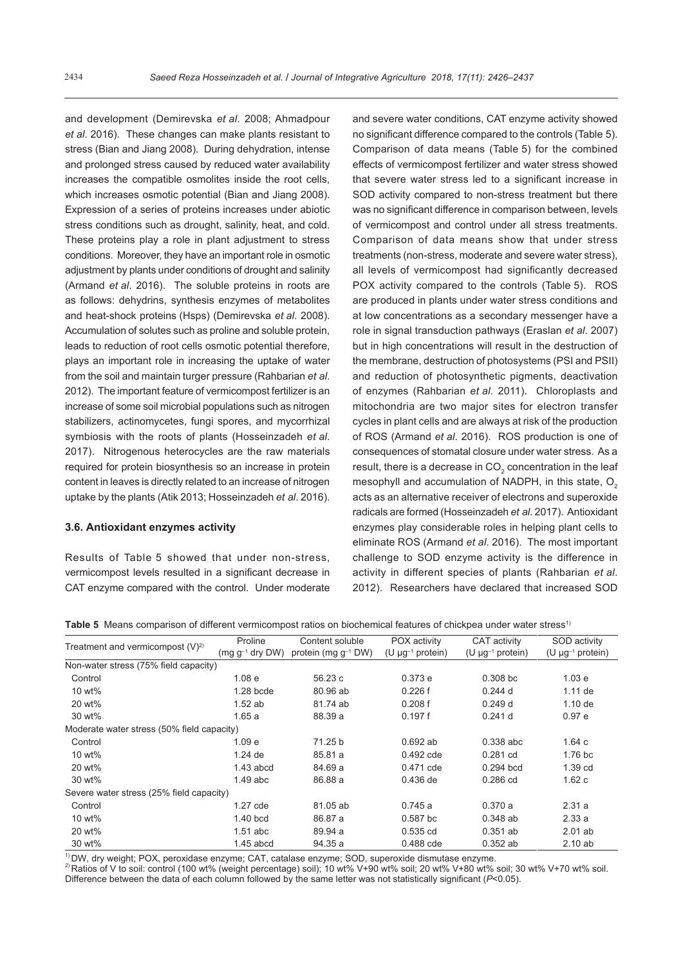and development (Demirevska *et al*. 2008; Ahmadpour *et al*. 2016). These changes can make plants resistant to stress (Bian and Jiang 2008). During dehydration, intense and prolonged stress caused by reduced water availability increases the compatible osmolites inside the root cells, which increases osmotic potential (Bian and Jiang 2008). Expression of a series of proteins increases under abiotic stress conditions such as drought, salinity, heat, and cold. These proteins play a role in plant adjustment to stress conditions. Moreover, they have an important role in osmotic adjustment by plants under conditions of drought and salinity (Armand *et al*. 2016). The soluble proteins in roots are as follows: dehydrins, synthesis enzymes of metabolites and heat-shock proteins (Hsps) (Demirevska *et al*. 2008). Accumulation of solutes such as proline and soluble protein, leads to reduction of root cells osmotic potential therefore, plays an important role in increasing the uptake of water from the soil and maintain turger pressure (Rahbarian *et al*. 2012). The important feature of vermicompost fertilizer is an increase of some soil microbial populations such as nitrogen stabilizers, actinomycetes, fungi spores, and mycorrhizal symbiosis with the roots of plants (Hosseinzadeh *et al*. 2017). Nitrogenous heterocycles are the raw materials required for protein biosynthesis so an increase in protein content in leaves is directly related to an increase of nitrogen uptake by the plants (Atik 2013; Hosseinzadeh *et al*. 2016).

## **3.6. Antioxidant enzymes activity**

Results of Table 5 showed that under non-stress, vermicompost levels resulted in a significant decrease in CAT enzyme compared with the control. Under moderate

and severe water conditions, CAT enzyme activity showed no significant difference compared to the controls (Table 5). Comparison of data means (Table 5) for the combined effects of vermicompost fertilizer and water stress showed that severe water stress led to a significant increase in SOD activity compared to non-stress treatment but there was no significant difference in comparison between, levels of vermicompost and control under all stress treatments. Comparison of data means show that under stress treatments (non-stress, moderate and severe water stress), all levels of vermicompost had significantly decreased POX activity compared to the controls (Table 5). ROS are produced in plants under water stress conditions and at low concentrations as a secondary messenger have a role in signal transduction pathways (Eraslan *et al*. 2007) but in high concentrations will result in the destruction of the membrane, destruction of photosystems (PSI and PSII) and reduction of photosynthetic pigments, deactivation of enzymes (Rahbarian *et al*. 2011). Chloroplasts and mitochondria are two major sites for electron transfer cycles in plant cells and are always at risk of the production of ROS (Armand *et al*. 2016). ROS production is one of consequences of stomatal closure under water stress. As a result, there is a decrease in CO<sub>2</sub> concentration in the leaf mesophyll and accumulation of NADPH, in this state,  $O<sub>2</sub>$ acts as an alternative receiver of electrons and superoxide radicals are formed (Hosseinzadeh *et al*. 2017). Antioxidant enzymes play considerable roles in helping plant cells to eliminate ROS (Armand *et al*. 2016). The most important challenge to SOD enzyme activity is the difference in activity in different species of plants (Rahbarian *et al*. 2012). Researchers have declared that increased SOD

**Table 5** Means comparison of different vermicompost ratios on biochemical features of chickpea under water stress<sup>1)</sup>

|                                            | Proline              | Content soluble          | POX activity             | CAT activity                      | SOD activity                      |
|--------------------------------------------|----------------------|--------------------------|--------------------------|-----------------------------------|-----------------------------------|
| Treatment and vermicompost $(V)^{2}$       | $(mq q^{-1}$ dry DW) | protein (mg $g^{-1}$ DW) | $(U \mu g^{-1}$ protein) | (U $\mu$ g <sup>-1</sup> protein) | (U $\mu$ g <sup>-1</sup> protein) |
| Non-water stress (75% field capacity)      |                      |                          |                          |                                   |                                   |
| Control                                    | 1.08 <sub>e</sub>    | 56.23 c                  | 0.373e                   | $0.308$ bc                        | 1.03 e                            |
| 10 wt%                                     | $1.28$ bcde          | 80.96 ab                 | 0.226f                   | $0.244$ d                         | $1.11$ de                         |
| 20 wt%                                     | $1.52$ ab            | 81.74 ab                 | 0.208f                   | 0.249d                            | $1.10$ de                         |
| 30 wt%                                     | 1.65a                | 88.39 a                  | 0.197f                   | $0.241$ d                         | 0.97e                             |
| Moderate water stress (50% field capacity) |                      |                          |                          |                                   |                                   |
| Control                                    | 1.09 <sub>e</sub>    | 71.25 b                  | $0.692$ ab               | $0.338$ abc                       | 1.64c                             |
| 10 wt%                                     | $1.24$ de            | 85.81 a                  | 0.492 cde                | $0.281$ cd                        | 1.76 <sub>b</sub> c               |
| 20 wt%                                     | $1.43$ abcd          | 84.69 a                  | 0.471 cde                | $0.294$ bcd                       | 1.39 cd                           |
| 30 wt%                                     | $1.49$ abc           | 86.88 a                  | $0.436$ de               | $0.286$ cd                        | 1.62c                             |
| Severe water stress (25% field capacity)   |                      |                          |                          |                                   |                                   |
| Control                                    | 1.27 cde             | 81.05 ab                 | 0.745a                   | 0.370a                            | 2.31a                             |
| 10 wt%                                     | $1.40$ bcd           | 86.87 a                  | $0.587$ bc               | $0.348$ ab                        | 2.33a                             |
| 20 wt%                                     | $1.51$ abc           | 89.94 a                  | $0.535$ cd               | $0.351$ ab                        | $2.01$ ab                         |
| 30 wt%                                     | $1.45$ abcd          | 94.35 a                  | 0.488 cde                | $0.352$ ab                        | 2.10ab                            |

<sup>1)</sup> DW, dry weight; POX, peroxidase enzyme; CAT, catalase enzyme; SOD, superoxide dismutase enzyme.<br><sup>2)</sup> Ratios of V to soil: control (100 wt% (weight percentage) soil); 10 wt% V+90 wt% soil; 20 wt% V+80 wt% soil; 30 wt% Difference between the data of each column followed by the same letter was not statistically significant (*P*<0.05).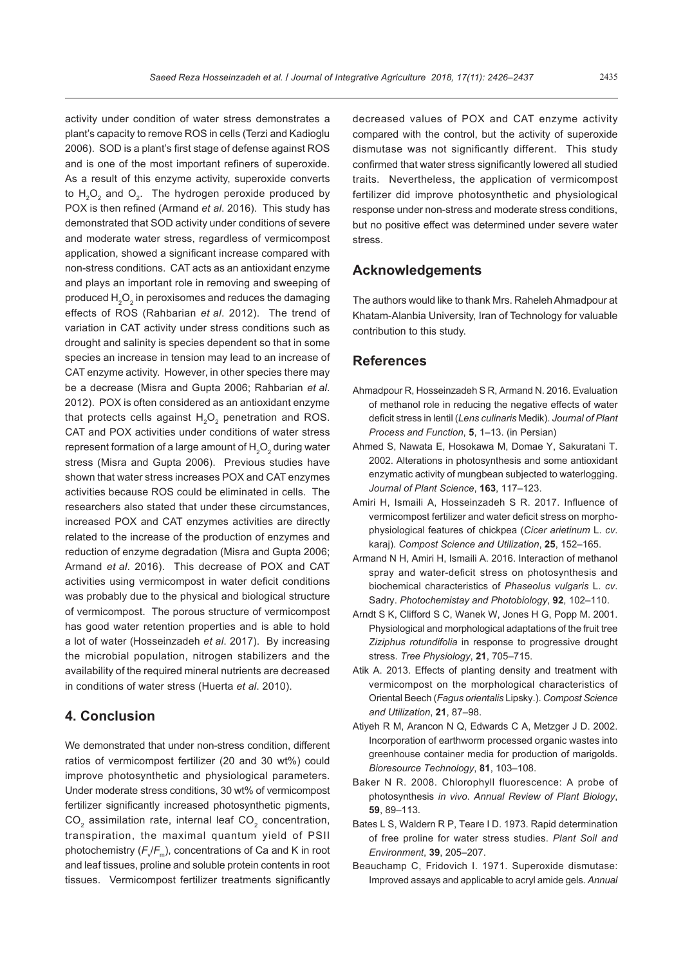activity under condition of water stress demonstrates a plant's capacity to remove ROS in cells (Terzi and Kadioglu 2006). SOD is a plant's first stage of defense against ROS and is one of the most important refiners of superoxide. As a result of this enzyme activity, superoxide converts to  $H_2O_2$  and  $O_2$ . The hydrogen peroxide produced by POX is then refined (Armand *et al*. 2016). This study has demonstrated that SOD activity under conditions of severe and moderate water stress, regardless of vermicompost application, showed a significant increase compared with non-stress conditions. CAT acts as an antioxidant enzyme and plays an important role in removing and sweeping of produced  ${\sf H}_{\mathfrak{2}}{\sf O}_{\mathfrak{2}}$  in peroxisomes and reduces the damaging effects of ROS (Rahbarian *et al*. 2012). The trend of variation in CAT activity under stress conditions such as drought and salinity is species dependent so that in some species an increase in tension may lead to an increase of CAT enzyme activity. However, in other species there may be a decrease (Misra and Gupta 2006; Rahbarian *et al*. 2012). POX is often considered as an antioxidant enzyme that protects cells against  $H_2O_2$  penetration and ROS. CAT and POX activities under conditions of water stress represent formation of a large amount of  $\mathsf{H}_{\mathsf{2}}\mathsf{O}_{\mathsf{2}}$  during water stress (Misra and Gupta 2006). Previous studies have shown that water stress increases POX and CAT enzymes activities because ROS could be eliminated in cells. The researchers also stated that under these circumstances, increased POX and CAT enzymes activities are directly related to the increase of the production of enzymes and reduction of enzyme degradation (Misra and Gupta 2006; Armand *et al*. 2016). This decrease of POX and CAT activities using vermicompost in water deficit conditions was probably due to the physical and biological structure of vermicompost. The porous structure of vermicompost has good water retention properties and is able to hold a lot of water (Hosseinzadeh *et al*. 2017). By increasing the microbial population, nitrogen stabilizers and the availability of the required mineral nutrients are decreased in conditions of water stress (Huerta *et al*. 2010).

## **4. Conclusion**

We demonstrated that under non-stress condition, different ratios of vermicompost fertilizer (20 and 30 wt%) could improve photosynthetic and physiological parameters. Under moderate stress conditions, 30 wt% of vermicompost fertilizer significantly increased photosynthetic pigments, CO<sub>2</sub> assimilation rate, internal leaf CO<sub>2</sub> concentration, transpiration, the maximal quantum yield of PSII photochemistry (*F<sub>V</sub>F*<sub>m</sub>), concentrations of Ca and K in root and leaf tissues, proline and soluble protein contents in root tissues. Vermicompost fertilizer treatments significantly

decreased values of POX and CAT enzyme activity compared with the control, but the activity of superoxide dismutase was not significantly different. This study confirmed that water stress significantly lowered all studied traits. Nevertheless, the application of vermicompost fertilizer did improve photosynthetic and physiological response under non-stress and moderate stress conditions, but no positive effect was determined under severe water stress.

## **Acknowledgements**

The authors would like to thank Mrs. Raheleh Ahmadpour at Khatam-Alanbia University, Iran of Technology for valuable contribution to this study.

## **References**

- Ahmadpour R, Hosseinzadeh S R, Armand N. 2016. Evaluation of methanol role in reducing the negative effects of water deficit stress in lentil (*Lens culinaris* Medik). *Journal of Plant Process and Function*, **5**, 1–13. (in Persian)
- Ahmed S, Nawata E, Hosokawa M, Domae Y, Sakuratani T. 2002. Alterations in photosynthesis and some antioxidant enzymatic activity of mungbean subjected to waterlogging. *Journal of Plant Science*, **163**, 117–123.
- Amiri H, Ismaili A, Hosseinzadeh S R. 2017. Influence of vermicompost fertilizer and water deficit stress on morphophysiological features of chickpea (*Cicer arietinum* L. *cv*. karaj). *Compost Science and Utilization*, **25**, 152–165.
- Armand N H, Amiri H, Ismaili A. 2016. Interaction of methanol spray and water-deficit stress on photosynthesis and biochemical characteristics of *Phaseolus vulgaris* L. *cv*. Sadry. *Photochemistay and Photobiology*, **92**, 102–110.
- Arndt S K, Clifford S C, Wanek W, Jones H G, Popp M. 2001. Physiological and morphological adaptations of the fruit tree *Ziziphus rotundifolia* in response to progressive drought stress. *Tree Physiology*, **21**, 705–715.
- Atik A. 2013. Effects of planting density and treatment with vermicompost on the morphological characteristics of Oriental Beech (*Fagus orientalis* Lipsky.). *Compost Science and Utilization*, **21**, 87–98.
- Atiyeh R M, Arancon N Q, Edwards C A, Metzger J D. 2002. Incorporation of earthworm processed organic wastes into greenhouse container media for production of marigolds. *Bioresource Technology*, **81**, 103–108.
- Baker N R. 2008. Chlorophyll fluorescence: A probe of photosynthesis *in vivo*. *Annual Review of Plant Biology*, **59**, 89–113.
- Bates L S, Waldern R P, Teare I D. 1973. Rapid determination of free proline for water stress studies. *Plant Soil and Environment*, **39**, 205–207.
- Beauchamp C, Fridovich I. 1971. Superoxide dismutase: Improved assays and applicable to acryl amide gels. *Annual*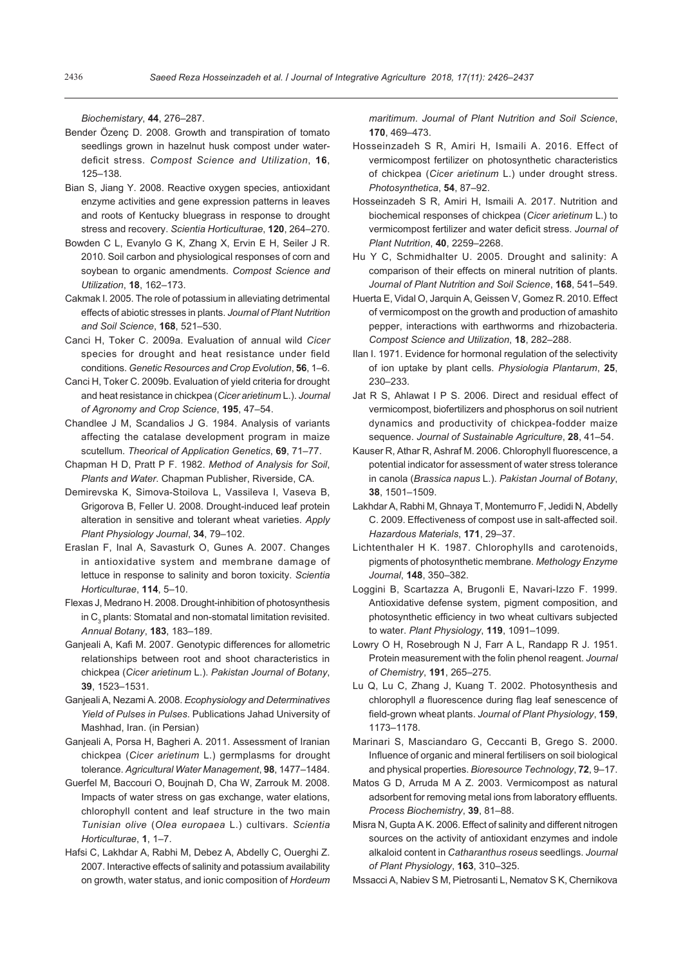*Biochemistary*, **44**, 276–287.

- Bender Özenç D. 2008. Growth and transpiration of tomato seedlings grown in hazelnut husk compost under waterdeficit stress. *Compost Science and Utilization*, **16**, 125–138.
- Bian S, Jiang Y. 2008. Reactive oxygen species, antioxidant enzyme activities and gene expression patterns in leaves and roots of Kentucky bluegrass in response to drought stress and recovery. *Scientia Horticulturae*, **120**, 264–270.
- Bowden C L, Evanylo G K, Zhang X, Ervin E H, Seiler J R. 2010. Soil carbon and physiological responses of corn and soybean to organic amendments. *Compost Science and Utilization*, **18**, 162–173.
- Cakmak I. 2005. The role of potassium in alleviating detrimental effects of abiotic stresses in plants. *Journal of Plant Nutrition and Soil Science*, **168**, 521–530.
- Canci H, Toker C. 2009a. Evaluation of annual wild *Cicer*  species for drought and heat resistance under field conditions. *Genetic Resources and Crop Evolution*, **56**, 1–6.
- Canci H, Toker C. 2009b. Evaluation of yield criteria for drought and heat resistance in chickpea (*Cicer arietinum* L.). *Journal of Agronomy and Crop Science*, **195**, 47–54.
- Chandlee J M, Scandalios J G. 1984. Analysis of variants affecting the catalase development program in maize scutellum. *Theorical of Application Genetics*, **69**, 71–77.
- Chapman H D, Pratt P F. 1982. *Method of Analysis for Soil*, *Plants and Water*. Chapman Publisher, Riverside, CA.
- Demirevska K, Simova-Stoilova L, Vassileva I, Vaseva B, Grigorova B, Feller U. 2008. Drought-induced leaf protein alteration in sensitive and tolerant wheat varieties. *Apply Plant Physiology Journal*, **34**, 79–102.
- Eraslan F, Inal A, Savasturk O, Gunes A. 2007. Changes in antioxidative system and membrane damage of lettuce in response to salinity and boron toxicity. *Scientia Horticulturae*, **114**, 5–10.
- Flexas J, Medrano H. 2008. Drought-inhibition of photosynthesis in  $\mathsf{C}_\mathfrak{z}$  plants: Stomatal and non-stomatal limitation revisited. *Annual Botany*, **183**, 183–189.
- Ganjeali A, Kafi M. 2007. Genotypic differences for allometric relationships between root and shoot characteristics in chickpea (*Cicer arietinum* L.). *Pakistan Journal of Botany*, **39**, 1523–1531.
- Ganjeali A, Nezami A. 2008. *Ecophysiology and Determinatives Yield of Pulses in Pulses*. Publications Jahad University of Mashhad, Iran. (in Persian)
- Ganjeali A, Porsa H, Bagheri A. 2011. Assessment of Iranian chickpea (*Cicer arietinum* L.) germplasms for drought tolerance. *Agricultural Water Management*, **98**, 1477–1484.
- Guerfel M, Baccouri O, Boujnah D, Cha W, Zarrouk M. 2008. Impacts of water stress on gas exchange, water elations, chlorophyll content and leaf structure in the two main *Tunisian olive* (*Olea europaea* L.) cultivars. *Scientia Horticulturae*, **1**, 1–7.
- Hafsi C, Lakhdar A, Rabhi M, Debez A, Abdelly C, Ouerghi Z. 2007. Interactive effects of salinity and potassium availability on growth, water status, and ionic composition of *Hordeum*

*maritimum*. *Journal of Plant Nutrition and Soil Science*, **170**, 469–473.

- Hosseinzadeh S R, Amiri H, Ismaili A. 2016. Effect of vermicompost fertilizer on photosynthetic characteristics of chickpea (*Cicer arietinum* L.) under drought stress. *Photosynthetica*, **54**, 87–92.
- Hosseinzadeh S R, Amiri H, Ismaili A. 2017. Nutrition and biochemical responses of chickpea (*Cicer arietinum* L.) to vermicompost fertilizer and water deficit stress. *Journal of Plant Nutrition*, **40**, 2259–2268.
- Hu Y C, Schmidhalter U. 2005. Drought and salinity: A comparison of their effects on mineral nutrition of plants. *Journal of Plant Nutrition and Soil Science*, **168**, 541–549.
- Huerta E, Vidal O, Jarquin A, Geissen V, Gomez R. 2010. Effect of vermicompost on the growth and production of amashito pepper, interactions with earthworms and rhizobacteria. *Compost Science and Utilization*, **18**, 282–288.
- Ilan I. 1971. Evidence for hormonal regulation of the selectivity of ion uptake by plant cells. *Physiologia Plantarum*, **25**, 230–233.
- Jat R S, Ahlawat I P S. 2006. Direct and residual effect of vermicompost, biofertilizers and phosphorus on soil nutrient dynamics and productivity of chickpea-fodder maize sequence. *Journal of Sustainable Agriculture*, **28**, 41–54.
- Kauser R, Athar R, Ashraf M. 2006. Chlorophyll fluorescence, a potential indicator for assessment of water stress tolerance in canola (*Brassica napus* L.). *Pakistan Journal of Botany*, **38**, 1501–1509.
- Lakhdar A, Rabhi M, Ghnaya T, Montemurro F, Jedidi N, Abdelly C. 2009. Effectiveness of compost use in salt-affected soil. *Hazardous Materials*, **171**, 29–37.
- Lichtenthaler H K. 1987. Chlorophylls and carotenoids, pigments of photosynthetic membrane. *Methology Enzyme Journal*, **148**, 350–382.
- Loggini B, Scartazza A, Brugonli E, Navari-Izzo F. 1999. Antioxidative defense system, pigment composition, and photosynthetic efficiency in two wheat cultivars subjected to water. *Plant Physiology*, **119**, 1091–1099.
- Lowry O H, Rosebrough N J, Farr A L, Randapp R J. 1951. Protein measurement with the folin phenol reagent. *Journal of Chemistry*, **191**, 265–275.
- Lu Q, Lu C, Zhang J, Kuang T. 2002. Photosynthesis and chlorophyll *a* fluorescence during flag leaf senescence of field-grown wheat plants. *Journal of Plant Physiology*, **159**, 1173–1178.
- Marinari S, Masciandaro G, Ceccanti B, Grego S. 2000. Influence of organic and mineral fertilisers on soil biological and physical properties. *Bioresource Technology*, **72**, 9–17.
- Matos G D, Arruda M A Z. 2003. Vermicompost as natural adsorbent for removing metal ions from laboratory effluents. *Process Biochemistry*, **39**, 81–88.
- Misra N, Gupta A K. 2006. Effect of salinity and different nitrogen sources on the activity of antioxidant enzymes and indole alkaloid content in *Catharanthus roseus* seedlings. *Journal of Plant Physiology*, **163**, 310–325.
- Mssacci A, Nabiev S M, Pietrosanti L, Nematov S K, Chernikova